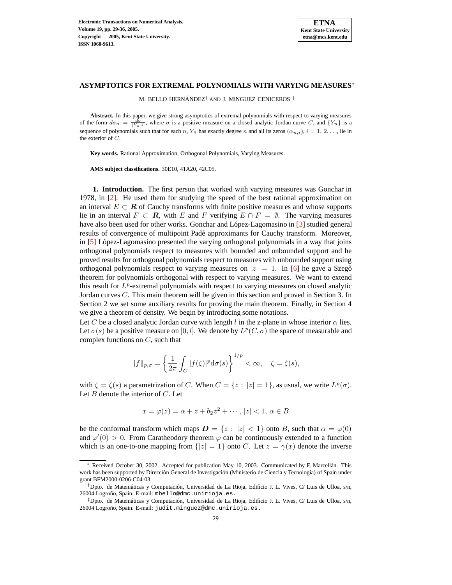

## **ASYMPTOTICS FOR EXTREMAL POLYNOMIALS WITH VARYING MEASURES**<sup>∗</sup>

M. BELLO HERNÁNDEZ<sup>†</sup> AND J. MíNGUEZ CENICEROS<sup>‡</sup>

**Abstract.** In this paper, we give strong asymptotics of extremal polynomials with respect to varying measures of the form  $d\sigma_n = \frac{d\sigma}{|Y_n|^p}$ , where  $\sigma$  is a positive measure on a closed analytic Jordan curve C, and  $\{Y_n\}$  is a sequence of polynomials such that for each n,  $Y_n$  has exactly degree n and all its zeros  $(\alpha_{n,i})$ ,  $i = 1, 2, \ldots$ , lie in the exterior of C.

**Key words.** Rational Approximation, Orthogonal Polynomials, Varying Measures.

**AMS subject classifications.** 30E10, 41A20, 42C05.

**1. Introduction.** The first person that worked with varying measures was Gonchar in 1978, in [\[2\]](#page-6-0). He used them for studying the speed of the best rational approximation on an interval  $E \subset \mathbf{R}$  of Cauchy transforms with finite positive measures and whose supports lie in an interval  $F \subset \mathbf{R}$ , with E and F verifying  $E \cap F = \emptyset$ . The varying measures have also been used for other works. Gonchar and López-Lagomasino in  $\lceil 3 \rceil$  studied general results of convergence of multipoint Pade´ approximants for Cauchy transform. Moreover, in  $[5]$  López-Lagomasino presented the varying orthogonal polynomials in a way that joins orthogonal polynomials respect to measures with bounded and unbounded support and he proved results for orthogonal polynomials respect to measures with unbounded support using orthogonal polynomials respect to varying measures on  $|z| = 1$ . In [\[6\]](#page-6-3) he gave a Szegõ theorem for polynomials orthogonal with respect to varying measures. We want to extend this result for  $L^p$ -extremal polynomials with respect to varying measures on closed analytic Jordan curves C. This main theorem will be given in this section and proved in Section 3. In Section 2 we set some auxiliary results for proving the main theorem. Finally, in Section 4 we give a theorem of density. We begin by introducing some notations.

Let C be a closed analytic Jordan curve with length l in the z-plane in whose interior  $\alpha$  lies. Let  $\sigma(s)$  be a positive measure on [0, *l*]. We denote by  $L^p(C, \sigma)$  the space of measurable and complex functions on  $C$ , such that

$$
||f||_{p,\sigma} = \left\{\frac{1}{2\pi} \int_C |f(\zeta)|^p \mathrm{d}\sigma(s)\right\}^{1/p} < \infty, \quad \zeta = \zeta(s),
$$

with  $\zeta = \zeta(s)$  a parametrization of C. When  $C = \{z : |z| = 1\}$ , as usual, we write  $L^p(\sigma)$ . Let  $B$  denote the interior of  $C$ . Let

$$
x = \varphi(z) = \alpha + z + b_2 z^2 + \cdots, |z| < 1, \, \alpha \in B
$$

be the conformal transform which maps  $\mathbf{D} = \{z : |z| < 1\}$  onto B, such that  $\alpha = \varphi(0)$ and  $\varphi'(0) > 0$ . From Caratheodory theorem  $\varphi$  can be continuously extended to a function which is an one-to-one mapping from  $\{|z|=1\}$  onto C. Let  $z=\gamma(x)$  denote the inverse

Received October 30, 2002. Accepted for publication May 10, 2003. Communicated by F. Marcellán. This work has been supported by Dirección General de Investigación (Ministerio de Ciencia y Tecnología) of Spain under grant BFM2000-0206-C04-03.

<sup>&</sup>lt;sup>†</sup>Dpto. de Matemáticas y Computación, Universidad de La Rioja, Edificio J. L. Vives, C/ Luis de Ulloa, s/n, 26004 Logroño, Spain. E-mail: mbello@dmc.unirioja.es.

<sup>&</sup>lt;sup>‡</sup>Dpto. de Matemáticas y Computación, Universidad de La Rioja, Edificio J. L. Vives, C/ Luis de Ulloa, s/n, 26004 Logroño, Spain. E-mail: judit.minguez@dmc.unirioja.es.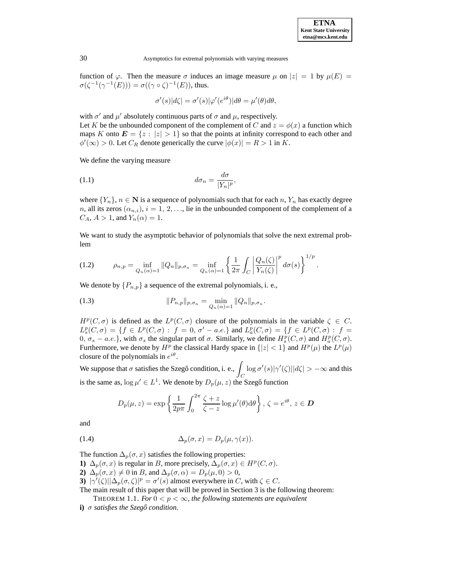function of  $\varphi$ . Then the measure  $\sigma$  induces an image measure  $\mu$  on  $|z| = 1$  by  $\mu(E) =$  $\sigma(\zeta^{-1}(\gamma^{-1}(E))) = \sigma((\gamma \circ \zeta)^{-1}(E))$ , thus.

$$
\sigma'(s)|d\zeta| = \sigma'(s)|\varphi'(e^{i\theta})|d\theta = \mu'(\theta)d\theta,
$$

with  $\sigma'$  and  $\mu'$  absolutely continuous parts of  $\sigma$  and  $\mu$ , respectively. Let K be the unbounded component of the complement of C and  $z = \phi(x)$  a function which maps K onto  $E = \{z : |z| > 1\}$  so that the points at infinity correspond to each other and  $\phi'(\infty) > 0$ . Let  $C_R$  denote generically the curve  $|\phi(x)| = R > 1$  in K.

We define the varying measure

(1.1) 
$$
d\sigma_n = \frac{d\sigma}{|Y_n|^p},
$$

where  ${Y_n}$ ,  $n \in \mathbb{N}$  is a sequence of polynomials such that for each n,  $Y_n$  has exactly degree *n*, all its zeros  $(\alpha_{n,i})$ ,  $i = 1, 2, \ldots$ , lie in the unbounded component of the complement of a  $C_A$ ,  $A > 1$ , and  $Y_n(\alpha) = 1$ .

We want to study the asymptotic behavior of polynomials that solve the next extremal problem

(1.2) 
$$
\rho_{n,p} = \inf_{Q_n(\alpha) = 1} \|Q_n\|_{p,\sigma_n} = \inf_{Q_n(\alpha) = 1} \left\{ \frac{1}{2\pi} \int_C \left| \frac{Q_n(\zeta)}{Y_n(\zeta)} \right|^p d\sigma(s) \right\}^{1/p}.
$$

We denote by  $\{P_{n,p}\}\$ a sequence of the extremal polynomials, i. e.,

(1.3) 
$$
||P_{n,p}||_{p,\sigma_n} = \min_{Q_n(\alpha)=1} ||Q_n||_{p,\sigma_n}.
$$

 $H^p(C, \sigma)$  is defined as the  $L^p(C, \sigma)$  closure of the polynomials in the variable  $\zeta \in C$ .  $L_s^p(C, \sigma) = \{f \in L^p(C, \sigma) : f = 0, \sigma' - a.e.\}$  and  $L_a^p(C, \sigma) = \{f \in L^p(C, \sigma) : f = 0\}$  $0, σ<sub>s</sub> − a.e.$ }, with  $σ<sub>s</sub>$  the singular part of  $σ$ . Similarly, we define  $H_s^p(C, σ)$  and  $H_a^p(C, σ)$ . Furthermore, we denote by  $H^p$  the classical Hardy space in  $\{|z| < 1\}$  and  $H^p(\mu)$  the  $L^p(\mu)$ closure of the polynomials in  $e^{i\theta}$ .

We suppose that  $\sigma$  satisfies the Szegő condition, i. e.,  $\Box$  $\mathcal{C}_{0}^{0}$  $\log \sigma'(s)|\gamma'(\zeta)||d\zeta| > -\infty$  and this is the same as,  $\log \mu' \in L^1$ . We denote by  $D_p(\mu, z)$  the Szegő function

$$
D_p(\mu, z) = \exp\left\{\frac{1}{2p\pi} \int_0^{2\pi} \frac{\zeta + z}{\zeta - z} \log \mu'(\theta) d\theta\right\}, \zeta = e^{i\theta}, z \in \mathcal{D}
$$

and

(1.4) 
$$
\Delta_p(\sigma, x) = D_p(\mu, \gamma(x)).
$$

The function  $\Delta_p(\sigma, x)$  satisfies the following properties:

**1)**  $\Delta_p(\sigma, x)$  is regular in B, more precisely,  $\Delta_p(\sigma, x) \in H^p(C, \sigma)$ .

**2)**  $\Delta_p(\sigma, x) \neq 0$  in B, and  $\Delta_p(\sigma, \alpha) = D_p(\mu, 0) > 0$ ,

**3)**  $|\gamma'(\zeta)||\Delta_p(\sigma, \zeta)|^p = \sigma'(s)$  almost everywhere in C, with  $\zeta \in C$ .

<span id="page-1-0"></span>The main result of this paper that will be proved in Section 3 is the following theorem: THEOREM 1.1. *For*  $0 < p < \infty$ *, the following statements are equivalent* 

**i)** σ *satisfies the Szego˝ condition.*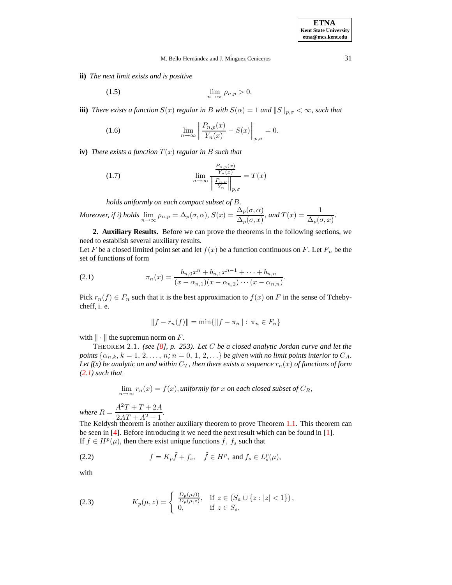## M. Bello Hernández and J. Mínguez Ceniceros 31

**ii)** *The next limit exists and is positive*

$$
\lim_{n \to \infty} \rho_{n,p} > 0.
$$

**iii**) *There exists a function*  $S(x)$  *regular in* B *with*  $S(\alpha) = 1$  *and*  $||S||_{p,\sigma} < \infty$ *, such that* 

(1.6) 
$$
\lim_{n \to \infty} \left\| \frac{P_{n,p}(x)}{Y_n(x)} - S(x) \right\|_{p,\sigma} = 0.
$$

**iv**) *There exists a function*  $T(x)$  *regular in B such that* 

(1.7) 
$$
\lim_{n \to \infty} \frac{\frac{P_{n,p}(x)}{Y_n(x)}}{\left\| \frac{P_{n,p}}{Y_n} \right\|_{p,\sigma}} = T(x)
$$

*holds uniformly on each compact subset of* B*.*

Moreover, if i) holds 
$$
\lim_{n \to \infty} \rho_{n,p} = \Delta_p(\sigma, \alpha)
$$
,  $S(x) = \frac{\Delta_p(\sigma, \alpha)}{\Delta_p(\sigma, x)}$ , and  $T(x) = \frac{1}{\Delta_p(\sigma, x)}$ .

**2. Auxiliary Results.** Before we can prove the theorems in the following sections, we need to establish several auxiliary results.

Let F be a closed limited point set and let  $f(x)$  be a function continuous on F. Let  $F_n$  be the set of functions of form

<span id="page-2-0"></span>(2.1) 
$$
\pi_n(x) = \frac{b_{n,0}x^n + b_{n,1}x^{n-1} + \dots + b_{n,n}}{(x - \alpha_{n,1})(x - \alpha_{n,2}) \cdots (x - \alpha_{n,n})}.
$$

Pick  $r_n(f) \in F_n$  such that it is the best approximation to  $f(x)$  on F in the sense of Tchebycheff, i. e.

$$
||f - r_n(f)|| = \min\{||f - \pi_n|| : \pi_n \in F_n\}
$$

with  $\|\cdot\|$  the supremun norm on F.

<span id="page-2-1"></span>THEOREM 2.1. *(see [\[8\]](#page-7-0), p. 253). Let* C *be a closed analytic Jordan curve and let the points*  $\{\alpha_{n,k}, k = 1, 2, \ldots, n; n = 0, 1, 2, \ldots\}$  *be given with no limit points interior to*  $C_A$ . *Let*  $f(x)$  *be* analytic on and within  $C_T$ , then there exists a sequence  $r_n(x)$  of functions of form *[\(2.1\)](#page-2-0) such that*

$$
\lim_{n \to \infty} r_n(x) = f(x)
$$
, *uniformly for* x on each closed subset of  $C_R$ ,

*where*  $R = \frac{A^2T + T + 2A}{2A(T + A^2 + A)}$  $\frac{2AT + A^2 + 1}{2+1}$ .

The Keldysh theorem is another auxiliary theorem to prove Theorem [1.1.](#page-1-0) This theorem can be seen in [\[4\]](#page-6-4). Before introducing it we need the next result which can be found in [\[1\]](#page-6-5). If  $f \in H^p(\mu)$ , then there exist unique functions  $\tilde{f}$ ,  $f_s$  such that

(2.2) 
$$
f = K_p \tilde{f} + f_s, \quad \tilde{f} \in H^p, \text{ and } f_s \in L_s^p(\mu),
$$

with

(2.3) 
$$
K_p(\mu, z) = \begin{cases} \frac{D_p(\mu, 0)}{D_p(\mu, z)}, & \text{if } z \in (S_a \cup \{z : |z| < 1\}), \\ 0, & \text{if } z \in S_s, \end{cases}
$$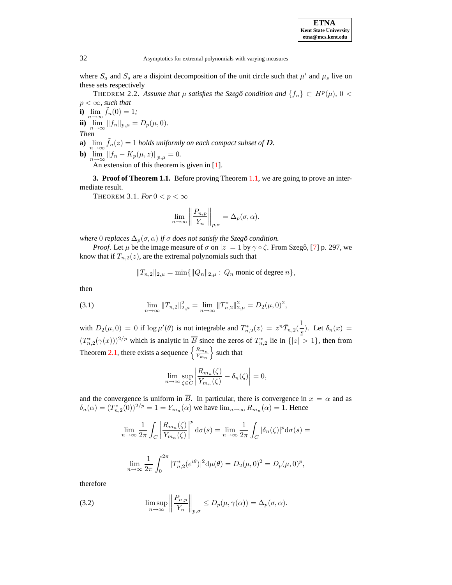where  $S_a$  and  $S_s$  are a disjoint decomposition of the unit circle such that  $\mu'$  and  $\mu_s$  live on these sets respectively

<span id="page-3-2"></span>THEOREM 2.2. Assume that  $\mu$  satisfies the Szegő condition and  $\{f_n\} \subset H^p(\mu)$ , 0 <  $p < \infty$ *, such that* 

**i)**  $\lim_{n \to \infty} \tilde{f}_n(0) = 1;$ **ii**)  $\lim_{n \to \infty} ||f_n||_{p,\mu} = D_p(\mu, 0).$ 

*Then*

- **a**)  $\lim_{n \to \infty} \tilde{f}_n(z) = 1$  *holds uniformly on each compact subset of*  $D$ .
- **b**)  $\lim_{n \to \infty} ||f_n K_p(\mu, z)||_{p,\mu} = 0.$

An extension of this theorem is given in [\[1\]](#page-6-5).

<span id="page-3-1"></span>**3. Proof of Theorem 1.1.** Before proving Theorem [1.1,](#page-1-0) we are going to prove an intermediate result.

THEOREM 3.1. *For*  $0 < p < \infty$ 

$$
\lim_{n \to \infty} \left\| \frac{P_{n,p}}{Y_n} \right\|_{p,\sigma} = \Delta_p(\sigma, \alpha).
$$

*where* 0 *replaces*  $\Delta_p(\sigma, \alpha)$  *if*  $\sigma$  *does not satisfy the Szegő condition.* 

*Proof.* Let  $\mu$  be the image measure of  $\sigma$  on  $|z| = 1$  by  $\gamma \circ \zeta$ . From Szegő, [\[7\]](#page-7-1) p. 297, we know that if  $T_{n,2}(z)$ , are the extremal polynomials such that

$$
||T_{n,2}||_{2,\mu} = \min{||Q_n||_{2,\mu} : Q_n \text{ monic of degree } n},
$$

then

(3.1) 
$$
\lim_{n \to \infty} ||T_{n,2}||_{2,\mu}^2 = \lim_{n \to \infty} ||T_{n,2}^*||_{2,\mu}^2 = D_2(\mu,0)^2,
$$

with  $D_2(\mu, 0) = 0$  if  $\log \mu'(\theta)$  is not integrable and  $T_{n,2}^*(z) = z^n \overline{T}_{n,2}(\frac{1}{z})$  $\frac{1}{\overline{z}}$ ). Let  $\delta_n(x) =$  $(T_{n,2}^{*}(\gamma(x)))^{2/p}$  which is analytic in  $\overline{B}$  since the zeros of  $T_{n,2}^{*}$  lie in  $\{|z| > 1\}$ , then from Theorem [2.1,](#page-2-1) there exists a sequence  $\left\{\frac{R_{m_n}}{V}\right\}$  $Y_{m_n}$  $\}$  such that

$$
\lim_{n \to \infty} \sup_{\zeta \in C} \left| \frac{R_{m_n}(\zeta)}{Y_{m_n}(\zeta)} - \delta_n(\zeta) \right| = 0,
$$

and the convergence is uniform in  $\overline{B}$ . In particular, there is convergence in  $x = \alpha$  and as  $\delta_n(\alpha) = (T_{n,2}^*(0))^{2/p} = 1 = Y_{m_n}(\alpha)$  we have  $\lim_{n \to \infty} R_{m_n}(\alpha) = 1$ . Hence

$$
\lim_{n \to \infty} \frac{1}{2\pi} \int_C \left| \frac{R_{m_n}(\zeta)}{Y_{m_n}(\zeta)} \right|^p d\sigma(s) = \lim_{n \to \infty} \frac{1}{2\pi} \int_C |\delta_n(\zeta)|^p d\sigma(s) =
$$
  

$$
\lim_{n \to \infty} \frac{1}{2\pi} \int_0^{2\pi} |T_{n,2}^*(e^{i\theta})|^2 d\mu(\theta) = D_2(\mu, 0)^2 = D_p(\mu, 0)^p,
$$

therefore

<span id="page-3-0"></span>(3.2) 
$$
\limsup_{n \to \infty} \left\| \frac{P_{n,p}}{Y_n} \right\|_{p,\sigma} \le D_p(\mu, \gamma(\alpha)) = \Delta_p(\sigma, \alpha).
$$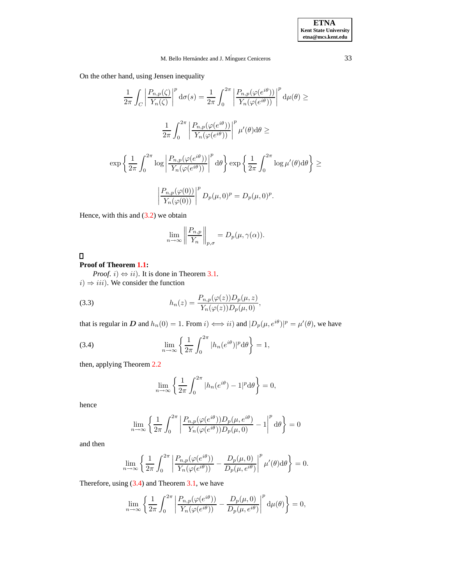# M. Bello Hernández and J. Mínguez Ceniceros 33

On the other hand, using Jensen inequality

$$
\frac{1}{2\pi} \int_C \left| \frac{P_{n,p}(\zeta)}{Y_n(\zeta)} \right|^p d\sigma(s) = \frac{1}{2\pi} \int_0^{2\pi} \left| \frac{P_{n,p}(\varphi(e^{i\theta}))}{Y_n(\varphi(e^{i\theta}))} \right|^p d\mu(\theta) \ge
$$

$$
\frac{1}{2\pi} \int_0^{2\pi} \left| \frac{P_{n,p}(\varphi(e^{i\theta}))}{Y_n(\varphi(e^{i\theta}))} \right|^p \mu'(\theta) d\theta \ge
$$

$$
\exp\left\{ \frac{1}{2\pi} \int_0^{2\pi} \log \left| \frac{P_{n,p}(\varphi(e^{i\theta}))}{Y_n(\varphi(e^{i\theta}))} \right|^p d\theta \right\} \exp\left\{ \frac{1}{2\pi} \int_0^{2\pi} \log \mu'(\theta) d\theta \right\} \ge
$$

$$
\left| \frac{P_{n,p}(\varphi(0))}{Y_n(\varphi(0))} \right|^p D_p(\mu, 0)^p = D_p(\mu, 0)^p.
$$

Hence, with this and  $(3.2)$  we obtain

$$
\lim_{n \to \infty} \left\| \frac{P_{n,p}}{Y_n} \right\|_{p,\sigma} = D_p(\mu, \gamma(\alpha)).
$$

 $\Box$ 

# **Proof of Theorem [1.1:](#page-1-0)**

*Proof. i*)  $\Leftrightarrow$  *ii*). It is done in Theorem [3.1.](#page-3-1)  $i) \Rightarrow iii$ ). We consider the function

<span id="page-4-1"></span>(3.3) 
$$
h_n(z) = \frac{P_{n,p}(\varphi(z))D_p(\mu, z)}{Y_n(\varphi(z))D_p(\mu, 0)},
$$

that is regular in D and  $h_n(0) = 1$ . From  $i) \iff ii)$  and  $|D_p(\mu, e^{i\theta})|^p = \mu'(\theta)$ , we have

<span id="page-4-0"></span>(3.4) 
$$
\lim_{n \to \infty} \left\{ \frac{1}{2\pi} \int_0^{2\pi} |h_n(e^{i\theta})|^p d\theta \right\} = 1,
$$

then, applying Theorem [2.2](#page-3-2)

$$
\lim_{n \to \infty} \left\{ \frac{1}{2\pi} \int_0^{2\pi} |h_n(e^{i\theta}) - 1|^p d\theta \right\} = 0,
$$

hence

$$
\lim_{n \to \infty} \left\{ \frac{1}{2\pi} \int_0^{2\pi} \left| \frac{P_{n,p}(\varphi(e^{i\theta})) D_p(\mu, e^{i\theta})}{Y_n(\varphi(e^{i\theta})) D_p(\mu, 0)} - 1 \right|^p d\theta \right\} = 0
$$

and then

$$
\lim_{n \to \infty} \left\{ \frac{1}{2\pi} \int_0^{2\pi} \left| \frac{P_{n,p}(\varphi(e^{i\theta}))}{Y_n(\varphi(e^{i\theta}))} - \frac{D_p(\mu,0)}{D_p(\mu,e^{i\theta})} \right|^p \mu'(\theta) d\theta \right\} = 0.
$$

Therefore, using [\(3.4\)](#page-4-0) and Theorem [3.1,](#page-3-1) we have

$$
\lim_{n \to \infty} \left\{ \frac{1}{2\pi} \int_0^{2\pi} \left| \frac{P_{n,p}(\varphi(e^{i\theta}))}{Y_n(\varphi(e^{i\theta}))} - \frac{D_p(\mu,0)}{D_p(\mu,e^{i\theta})} \right|^p d\mu(\theta) \right\} = 0,
$$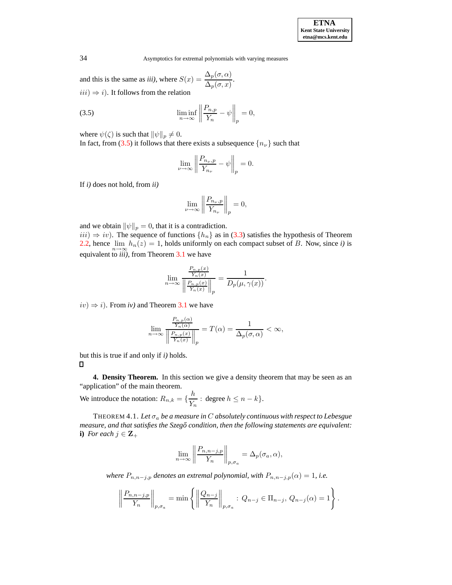and this is the same as *iii*), where  $S(x) = \frac{\Delta_p(\sigma, \alpha)}{\Delta_p(x)}$  $\frac{\Delta_p(\sigma, \alpha)}{\Delta_p(\sigma, x)}$ .  $iii) \Rightarrow i$ ). It follows from the relation

<span id="page-5-0"></span>(3.5) 
$$
\liminf_{n \to \infty} \left\| \frac{P_{n,p}}{Y_n} - \psi \right\|_p = 0,
$$

where  $\psi(\zeta)$  is such that  $\|\psi\|_p \neq 0$ .

In fact, from [\(3.5\)](#page-5-0) it follows that there exists a subsequence  $\{n_{\nu}\}\$  such that

$$
\lim_{\nu \to \infty} \left\| \frac{P_{n_{\nu},p}}{Y_{n_{\nu}}} - \psi \right\|_{p} = 0.
$$

If *i)* does not hold, from *ii)*

$$
\lim_{\nu \to \infty} \left\| \frac{P_{n_{\nu},p}}{Y_{n_{\nu}}} \right\|_{p} = 0,
$$

and we obtain  $\|\psi\|_p = 0$ , that it is a contradiction.

 $iii) \Rightarrow iv$ ). The sequence of functions  $\{h_n\}$  as in [\(3.3\)](#page-4-1) satisfies the hypothesis of Theorem [2.2,](#page-3-2) hence  $\lim_{n\to\infty} h_n(z) = 1$ , holds uniformly on each compact subset of B. Now, since *i*) is equivalent to *iii)*, from Theorem [3.1](#page-3-1) we have

$$
\lim_{n \to \infty} \frac{\frac{P_{n,p}(x)}{Y_n(x)}}{\left\| \frac{P_{n,p}(x)}{Y_n(x)} \right\|_p} = \frac{1}{D_p(\mu, \gamma(x))}.
$$

 $iv) \Rightarrow i$ ). From *iv*) and Theorem [3.1](#page-3-1) we have

$$
\lim_{n \to \infty} \frac{\frac{P_{n,p}(\alpha)}{Y_n(\alpha)}}{\left\| \frac{P_{n,p}(x)}{Y_n(x)} \right\|_p} = T(\alpha) = \frac{1}{\Delta_p(\sigma,\alpha)} < \infty,
$$

but this is true if and only if *i)* holds.  $\Box$ 

**4. Density Theorem.** In this section we give a density theorem that may be seen as an "application" of the main theorem.

We introduce the notation:  $R_{n,k} = \{\frac{h}{V}\}$  $\frac{n}{Y_n}$ : degree  $h \leq n - k$ .

THEOREM 4.1. *Let* σ<sup>a</sup> *be a measure in* C *absolutely continuous with respect to Lebesgue measure, and that satisfies the Szego˝ condition, then the following statements are equivalent:* **i**) *For each*  $j \in \mathbb{Z}_+$ 

$$
\lim_{n \to \infty} \left\| \frac{P_{n,n-j,p}}{Y_n} \right\|_{p,\sigma_a} = \Delta_p(\sigma_a, \alpha),
$$

*where*  $P_{n,n-j,p}$  *denotes an extremal polynomial, with*  $P_{n,n-j,p}(\alpha) = 1$ *, i.e.* 

$$
\left\| \frac{P_{n,n-j,p}}{Y_n} \right\|_{p,\sigma_a} = \min \left\{ \left\| \frac{Q_{n-j}}{Y_n} \right\|_{p,\sigma_a} : Q_{n-j} \in \Pi_{n-j}, Q_{n-j}(\alpha) = 1 \right\}.
$$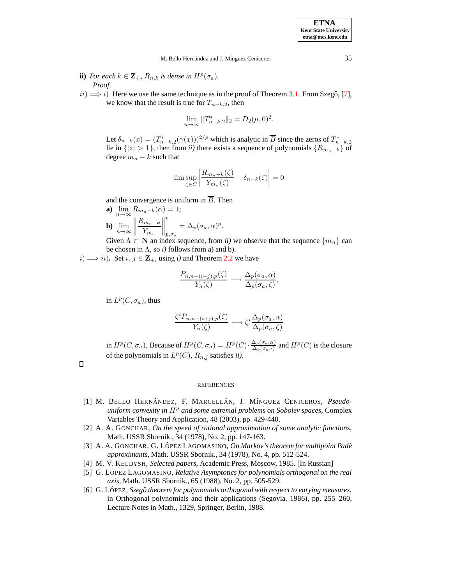M. Bello Hernández and J. Mínguez Ceniceros 35

- **ii**) *For each*  $k \in \mathbf{Z}_+$ *,*  $R_{n,k}$  *is dense in*  $H^p(\sigma_a)$ *. Proof*.
- $ii) \Longrightarrow i$ ) Here we use the same technique as in the proof of Theorem [3.1.](#page-3-1) From Szegő, [\[7\]](#page-7-1), we know that the result is true for  $T_{n-k,2}$ , then

$$
\lim_{n \to \infty} ||T_{n-k,2}^*||_2 = D_2(\mu, 0)^2.
$$

Let  $\delta_{n-k}(x) = (T_{n-k,2}^*(\gamma(x)))^{2/p}$  which is analytic in  $\overline{B}$  since the zeros of  $T_{n-k,2}^*$ lie in  $\{|z| > 1\}$ , then from *ii*) there exists a sequence of polynomials  $\{R_{m_n-k}\}$  of degree  $m_n - k$  such that

$$
\limsup_{\zeta \in C} \left| \frac{R_{m_n-k}(\zeta)}{Y_{m_n}(\zeta)} - \delta_{n-k}(\zeta) \right| = 0
$$

and the convergence is uniform in  $\overline{B}$ . Then

**a)** 
$$
\lim_{n \to \infty} R_{m_n-k}(\alpha) = 1;
$$
  
\n**b)**  $\lim_{n \to \infty} \left\| \frac{R_{m_n-k}}{Y_{m_n}} \right\|_{p,\sigma_a}^p = \Delta_p(\sigma_a, \alpha)^p$ 

Given  $\Lambda \subset \mathbb{N}$  an index sequence, from *ii*) we observe that the sequence  $\{m_n\}$  can be chosen in  $\Lambda$ , so *i*) follows from a) and b).

.

*i*)  $\implies$  *ii*). Set *i*, *j* ∈ **Z**<sub>+</sub>, using *i*) and Theorem [2.2](#page-3-2) we have

$$
\frac{P_{n,n-(i+j),p}(\zeta)}{Y_n(\zeta)} \longrightarrow \frac{\Delta_p(\sigma_a,\alpha)}{\Delta_p(\sigma_a,\zeta)},
$$

in  $L^p(C, \sigma_a)$ , thus

$$
\frac{\zeta^{i} P_{n,n-(i+j),p}(\zeta)}{Y_n(\zeta)} \longrightarrow \zeta^{i} \frac{\Delta_p(\sigma_a, \alpha)}{\Delta_p(\sigma_a, \zeta)}
$$

in  $H^p(C, \sigma_a)$ . Because of  $H^p(C, \sigma_a) = H^p(C) \cdot \frac{\Delta_p(\sigma_a, \alpha)}{\Delta_p(\sigma_a, \cdot)}$  and  $H^p(C)$  is the closure of the polynomials in  $L^p(C)$ ,  $R_{n,j}$  satisfies *ii*).

 $\Box$ 

#### REFERENCES

- <span id="page-6-5"></span>[1] M. BELLO HERNÁNDEZ, F. MARCELLÁN, J. MÍNGUEZ CENICEROS, *Pseudouniform convexity in*  $H<sup>p</sup>$  *and some extremal problems on Sobolev spaces, Complex* Variables Theory and Application, 48 (2003), pp. 429-440.
- <span id="page-6-0"></span>[2] A. A. GONCHAR, *On the speed of rational approximation of some analytic functions*, Math. USSR Sbornik., 34 (1978), No. 2, pp. 147-163.
- <span id="page-6-1"></span>[3] A. A. GONCHAR, G. LO´ PEZ LAGOMASINO, *On Markov's theorem for multipoint Pade´ approximants*, Math. USSR Sbornik., 34 (1978), No. 4, pp. 512-524.
- <span id="page-6-4"></span><span id="page-6-2"></span>[4] M. V. KELDYSH, *Selected papers*, Academic Press, Moscow, 1985. [In Russian]
- [5] G. LO´ PEZ LAGOMASINO, *Relative Asymptotics for polynomials orthogonal on the real axis*, Math. USSR Sbornik., 65 (1988), No. 2, pp. 505-529.
- <span id="page-6-3"></span>[6] G. LO´ PEZ, *Szego˝ theorem for polynomials orthogonal with respect to varying measures*, in Orthogonal polynomials and their applications (Segovia, 1986), pp. 255–260, Lecture Notes in Math., 1329, Springer, Berlin, 1988.